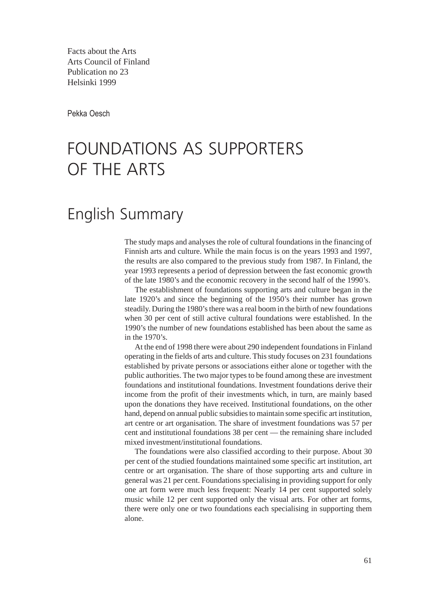Facts about the Arts Arts Council of Finland Publication no 23 Helsinki 1999

Pekka Oesch

## FOUNDATIONS AS SUPPORTERS OF THE ARTS

## English Summary

The study maps and analyses the role of cultural foundations in the financing of Finnish arts and culture. While the main focus is on the years 1993 and 1997, the results are also compared to the previous study from 1987. In Finland, the year 1993 represents a period of depression between the fast economic growth of the late 1980's and the economic recovery in the second half of the 1990's.

The establishment of foundations supporting arts and culture began in the late 1920's and since the beginning of the 1950's their number has grown steadily. During the 1980's there was a real boom in the birth of new foundations when 30 per cent of still active cultural foundations were established. In the 1990's the number of new foundations established has been about the same as in the 1970's.

At the end of 1998 there were about 290 independent foundations in Finland operating in the fields of arts and culture. This study focuses on 231 foundations established by private persons or associations either alone or together with the public authorities. The two major types to be found among these are investment foundations and institutional foundations. Investment foundations derive their income from the profit of their investments which, in turn, are mainly based upon the donations they have received. Institutional foundations, on the other hand, depend on annual public subsidies to maintain some specific art institution, art centre or art organisation. The share of investment foundations was 57 per cent and institutional foundations 38 per cent — the remaining share included mixed investment/institutional foundations.

The foundations were also classified according to their purpose. About 30 per cent of the studied foundations maintained some specific art institution, art centre or art organisation. The share of those supporting arts and culture in general was 21 per cent. Foundations specialising in providing support for only one art form were much less frequent: Nearly 14 per cent supported solely music while 12 per cent supported only the visual arts. For other art forms, there were only one or two foundations each specialising in supporting them alone.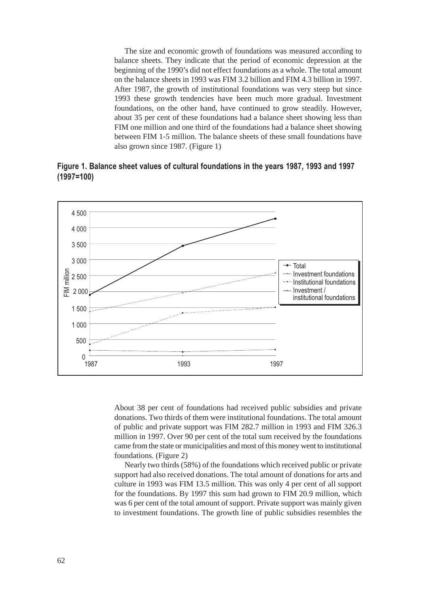The size and economic growth of foundations was measured according to balance sheets. They indicate that the period of economic depression at the beginning of the 1990's did not effect foundations as a whole. The total amount on the balance sheets in 1993 was FIM 3.2 billion and FIM 4.3 billion in 1997. After 1987, the growth of institutional foundations was very steep but since 1993 these growth tendencies have been much more gradual. Investment foundations, on the other hand, have continued to grow steadily. However, about 35 per cent of these foundations had a balance sheet showing less than FIM one million and one third of the foundations had a balance sheet showing between FIM 1-5 million. The balance sheets of these small foundations have also grown since 1987. (Figure 1)

**Figure 1. Balance sheet values of cultural foundations in the years 1987, 1993 and 1997 (1997=100)**



About 38 per cent of foundations had received public subsidies and private donations. Two thirds of them were institutional foundations. The total amount of public and private support was FIM 282.7 million in 1993 and FIM 326.3 million in 1997. Over 90 per cent of the total sum received by the foundations came from the state or municipalities and most of this money went to institutional foundations. (Figure 2)

Nearly two thirds (58%) of the foundations which received public or private support had also received donations. The total amount of donations for arts and culture in 1993 was FIM 13.5 million. This was only 4 per cent of all support for the foundations. By 1997 this sum had grown to FIM 20.9 million, which was 6 per cent of the total amount of support. Private support was mainly given to investment foundations. The growth line of public subsidies resembles the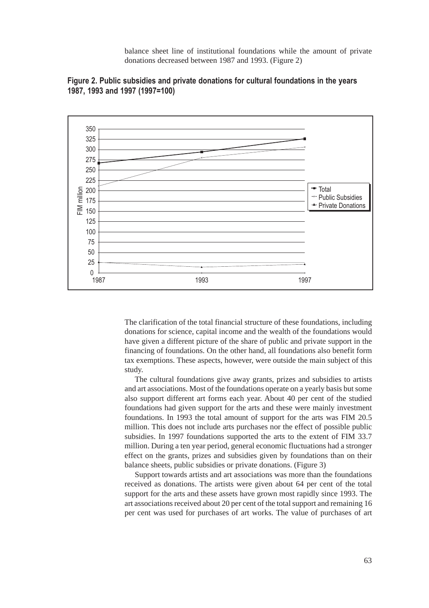balance sheet line of institutional foundations while the amount of private donations decreased between 1987 and 1993. (Figure 2)





The clarification of the total financial structure of these foundations, including donations for science, capital income and the wealth of the foundations would have given a different picture of the share of public and private support in the financing of foundations. On the other hand, all foundations also benefit form tax exemptions. These aspects, however, were outside the main subject of this study.

The cultural foundations give away grants, prizes and subsidies to artists and art associations. Most of the foundations operate on a yearly basis but some also support different art forms each year. About 40 per cent of the studied foundations had given support for the arts and these were mainly investment foundations. In 1993 the total amount of support for the arts was FIM 20.5 million. This does not include arts purchases nor the effect of possible public subsidies. In 1997 foundations supported the arts to the extent of FIM 33.7 million. During a ten year period, general economic fluctuations had a stronger effect on the grants, prizes and subsidies given by foundations than on their balance sheets, public subsidies or private donations. (Figure 3)

Support towards artists and art associations was more than the foundations received as donations. The artists were given about 64 per cent of the total support for the arts and these assets have grown most rapidly since 1993. The art associations received about 20 per cent of the total support and remaining 16 per cent was used for purchases of art works. The value of purchases of art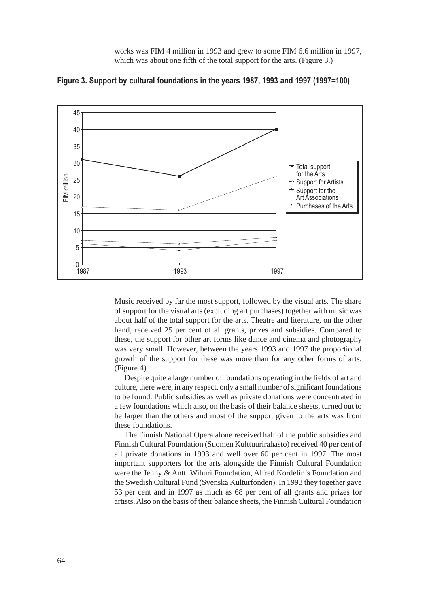works was FIM 4 million in 1993 and grew to some FIM 6.6 million in 1997, which was about one fifth of the total support for the arts. (Figure 3.)



**Figure 3. Support by cultural foundations in the years 1987, 1993 and 1997 (1997=100)**

Music received by far the most support, followed by the visual arts. The share of support for the visual arts (excluding art purchases) together with music was about half of the total support for the arts. Theatre and literature, on the other hand, received 25 per cent of all grants, prizes and subsidies. Compared to these, the support for other art forms like dance and cinema and photography was very small. However, between the years 1993 and 1997 the proportional growth of the support for these was more than for any other forms of arts. (Figure 4)

Despite quite a large number of foundations operating in the fields of art and culture, there were, in any respect, only a small number of significant foundations to be found. Public subsidies as well as private donations were concentrated in a few foundations which also, on the basis of their balance sheets, turned out to be larger than the others and most of the support given to the arts was from these foundations.

The Finnish National Opera alone received half of the public subsidies and Finnish Cultural Foundation (Suomen Kulttuurirahasto) received 40 per cent of all private donations in 1993 and well over 60 per cent in 1997. The most important supporters for the arts alongside the Finnish Cultural Foundation were the Jenny & Antti Wihuri Foundation, Alfred Kordelin's Foundation and the Swedish Cultural Fund (Svenska Kulturfonden). In 1993 they together gave 53 per cent and in 1997 as much as 68 per cent of all grants and prizes for artists. Also on the basis of their balance sheets, the Finnish Cultural Foundation